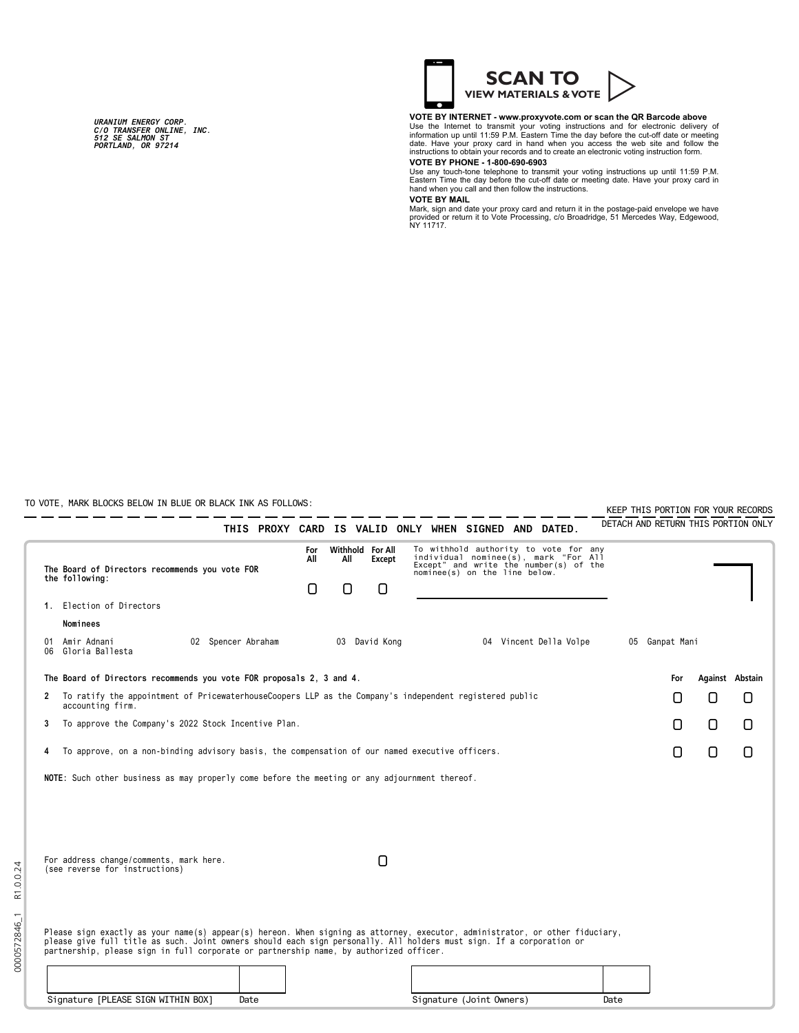*URANIUM ENERGY CORP. C/O TRANSFER ONLINE, INC. 512 SE SALMON ST PORTLAND, OR 97214*



### **VOTE BY INTERNET - www.proxyvote.com or scan the QR Barcode above**

Use the Internet to transmit your voting instructions and for electronic delivery of information up until 11:59 P.M. Eastern Time the day before the cut-off date or meeting date. Have your proxy card in hand when you acces

Use any touch-tone telephone to transmit your voting instructions up until 11:59 P.M. Eastern Time the day before the cut-off date or meeting date. Have your proxy card in hand when you call and then follow the instructions.

## **VOTE BY MAIL**

Mark, sign and date your proxy card and return it in the postage-paid envelope we have<br>provided or return it to Vote Processing, c/o Broadridge, 51 Mercedes Way, Edgewood,<br>NY 11717.

TO VOTE, MARK BLOCKS BELOW IN BLUE OR BLACK INK AS FOLLOWS:

0000572846\_1 R1.0.0.24

0000572846\_1

R1.0.0.24

| U VUTE, ITANN BLUCNS BELUW IN BLUE UN BLACN INN AS FULLUWS |                                                                                                                                                                                                                                                                                                                                                                                              |                 |          |                                 |                                                                                                                                                          |  |  |                        |  | KEEP THIS PORTION FOR YOUR RECORDS |                |   |                                     |  |
|------------------------------------------------------------|----------------------------------------------------------------------------------------------------------------------------------------------------------------------------------------------------------------------------------------------------------------------------------------------------------------------------------------------------------------------------------------------|-----------------|----------|---------------------------------|----------------------------------------------------------------------------------------------------------------------------------------------------------|--|--|------------------------|--|------------------------------------|----------------|---|-------------------------------------|--|
|                                                            | THIS PROXY CARD IS VALID ONLY WHEN SIGNED AND DATED.                                                                                                                                                                                                                                                                                                                                         |                 |          |                                 |                                                                                                                                                          |  |  |                        |  |                                    |                |   | DETACH AND RETURN THIS PORTION ONLY |  |
|                                                            | The Board of Directors recommends you vote FOR<br>the following:                                                                                                                                                                                                                                                                                                                             | For<br>All<br>0 | All<br>Π | Withhold For All<br>Except<br>n | To withhold authority to vote for any<br>individual nominee(s), mark "For All<br>Except" and write the number(s) of the<br>nominee(s) on the line below. |  |  |                        |  |                                    |                |   |                                     |  |
|                                                            | 1. Election of Directors                                                                                                                                                                                                                                                                                                                                                                     |                 |          |                                 |                                                                                                                                                          |  |  |                        |  |                                    |                |   |                                     |  |
|                                                            | Nominees                                                                                                                                                                                                                                                                                                                                                                                     |                 |          |                                 |                                                                                                                                                          |  |  |                        |  |                                    |                |   |                                     |  |
| 01                                                         | Amir Adnani<br>02 Spencer Abraham<br>06 Gloria Ballesta                                                                                                                                                                                                                                                                                                                                      |                 |          | 03 David Kong                   |                                                                                                                                                          |  |  | 04 Vincent Della Volpe |  |                                    | 05 Ganpat Mani |   |                                     |  |
|                                                            | The Board of Directors recommends you vote FOR proposals 2, 3 and 4.                                                                                                                                                                                                                                                                                                                         |                 |          |                                 |                                                                                                                                                          |  |  |                        |  |                                    | For            |   | Against Abstain                     |  |
| $\mathbf{2}$                                               | To ratify the appointment of PricewaterhouseCoopers LLP as the Company's independent registered public<br>accounting firm.                                                                                                                                                                                                                                                                   |                 |          |                                 |                                                                                                                                                          |  |  |                        |  |                                    | []             | 0 | Ο                                   |  |
| 3                                                          | To approve the Company's 2022 Stock Incentive Plan.                                                                                                                                                                                                                                                                                                                                          |                 |          |                                 |                                                                                                                                                          |  |  |                        |  |                                    | Π              | 0 | Ο                                   |  |
| 4                                                          | To approve, on a non-binding advisory basis, the compensation of our named executive officers.                                                                                                                                                                                                                                                                                               |                 |          |                                 |                                                                                                                                                          |  |  |                        |  |                                    | Π              | 0 | Ο                                   |  |
|                                                            | NOTE: Such other business as may properly come before the meeting or any adjournment thereof.                                                                                                                                                                                                                                                                                                |                 |          |                                 |                                                                                                                                                          |  |  |                        |  |                                    |                |   |                                     |  |
|                                                            | For address change/comments, mark here.<br>(see reverse for instructions)                                                                                                                                                                                                                                                                                                                    |                 |          | 0                               |                                                                                                                                                          |  |  |                        |  |                                    |                |   |                                     |  |
|                                                            | Please sign exactly as your name(s) appear(s) hereon. When signing as attorney, executor, administrator, or other fiduciary,<br>please give full title as such. Joint owners should each sign personally. All holders must sign. If a corporation or<br>partnership, please sign in full corporate or partnership name, by authorized officer.<br>Signature [PLEASE SIGN WITHIN BOX]<br>Date |                 |          |                                 | Signature (Joint Owners)                                                                                                                                 |  |  |                        |  | Date                               |                |   |                                     |  |